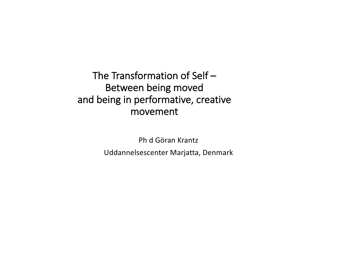The Transformation of Self – Between being moved and being in performative, creative movement

> Ph d Göran Krantz Uddannelsescenter Marjatta, Denmark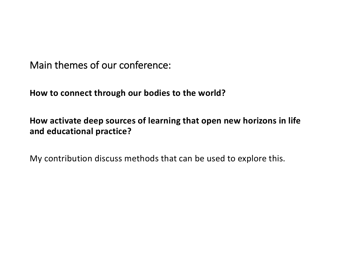Main themes of our conference:

**How to connect through our bodies to the world?**

**How activate deep sources of learning that open new horizons in life and educational practice?**

My contribution discuss methods that can be used to explore this.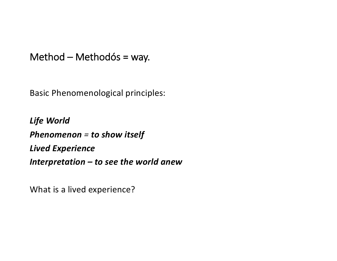Method – Methodós = way.

Basic Phenomenological principles:

*Life World Phenomenon = to show itself Lived Experience Interpretation – to see the world anew*

What is a lived experience?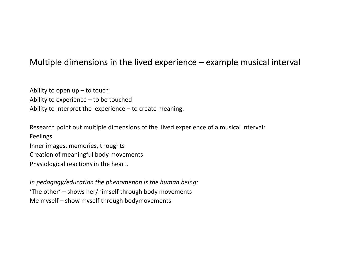#### Multiple dimensions in the lived experience – example musical interval

Ability to open  $up$  – to touch Ability to experience – to be touched Ability to interpret the experience – to create meaning.

Research point out multiple dimensions of the lived experience of a musical interval: Feelings Inner images, memories, thoughts Creation of meaningful body movements Physiological reactions in the heart.

*In pedagogy/education the phenomenon is the human being:* 'The other' – shows her/himself through body movements Me myself – show myself through bodymovements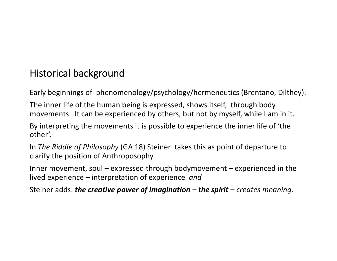# Historical background

Early beginnings of phenomenology/psychology/hermeneutics (Brentano, Dilthey).

The inner life of the human being is expressed, shows itself, through body movements. It can be experienced by others, but not by myself, while I am in it.

By interpreting the movements it is possible to experience the inner life of 'the other'.

In *The Riddle of Philosophy* (GA 18) Steiner takes this as point of departure to clarify the position of Anthroposophy.

Inner movement, soul – expressed through bodymovement – experienced in the lived experience – interpretation of experience *and* 

Steiner adds: *the creative power of imagination – the spirit – creates meaning.*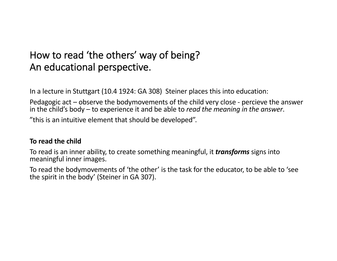## How to read 'the others' way of being? An educational perspective.

In a lecture in Stuttgart (10.4 1924: GA 308) Steiner places this into education:

Pedagogic act – observe the bodymovements of the child very close - percieve the answer in the child's body – to experience it and be able to *read the meaning in the answer*.

"this is an intuitive element that should be developed".

#### **To read the child**

To read is an inner ability, to create something meaningful, it *transforms* signs into meaningful inner images.

To read the bodymovements of 'the other' is the task for the educator, to be able to 'see the spirit in the body' (Steiner in GA 307).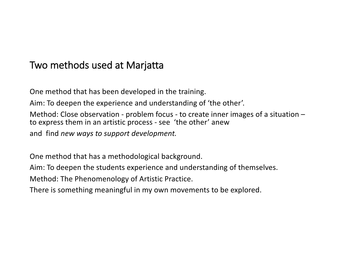### Two methods used at Marjatta

One method that has been developed in the training. Aim: To deepen the experience and understanding of 'the other'. Method: Close observation - problem focus - to create inner images of a situation – to express them in an artistic process - see 'the other' anew and find *new ways to support development.* 

One method that has a methodological background.

Aim: To deepen the students experience and understanding of themselves.

Method: The Phenomenology of Artistic Practice.

There is something meaningful in my own movements to be explored.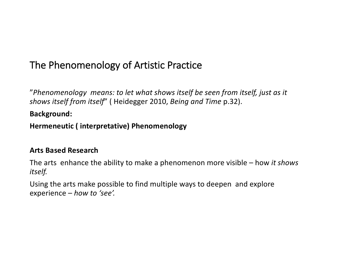# The Phenomenology of Artistic Practice

"*Phenomenology means: to let what shows itself be seen from itself, just as it shows itself from itself*" ( Heidegger 2010, *Being and Time* p.32).

**Background:**

**Hermeneutic ( interpretative) Phenomenology**

#### **Arts Based Research**

The arts enhance the ability to make a phenomenon more visible – how *it shows itself.*

Using the arts make possible to find multiple ways to deepen and explore experience – *how to 'see'.*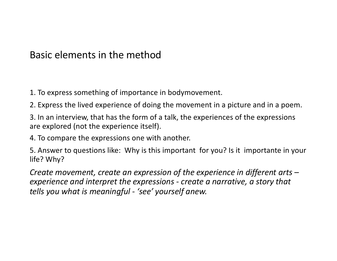### Basic elements in the method

1. To express something of importance in bodymovement.

2. Express the lived experience of doing the movement in a picture and in a poem.

3. In an interview, that has the form of a talk, the experiences of the expressions are explored (not the experience itself).

4. To compare the expressions one with another.

5. Answer to questions like: Why is this important for you? Is it importante in your life? Why?

*Create movement, create an expression of the experience in different arts – experience and interpret the expressions - create a narrative, a story that tells you what is meaningful - 'see' yourself anew.*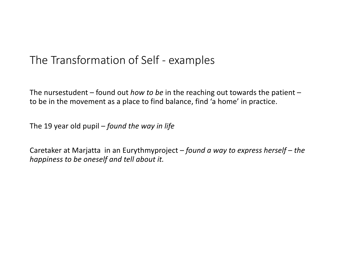# The Transformation of Self - examples

The nursestudent – found out *how to be* in the reaching out towards the patient – to be in the movement as a place to find balance, find 'a home' in practice.

The 19 year old pupil – *found the way in life*

Caretaker at Marjatta in an Eurythmyproject – *found a way to express herself* – *the happiness to be oneself and tell about it.*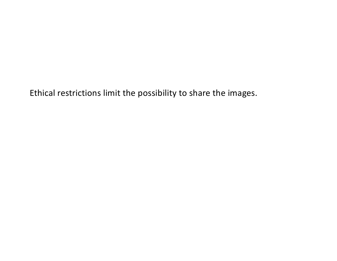Ethical restrictions limit the possibility to share the images.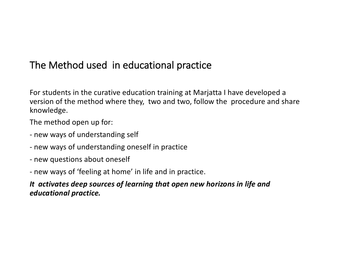# The Method used in educational practice

For students in the curative education training at Marjatta I have developed a version of the method where they, two and two, follow the procedure and share knowledge.

The method open up for:

- new ways of understanding self
- new ways of understanding oneself in practice
- new questions about oneself
- new ways of 'feeling at home' in life and in practice.

*It activates deep sources of learning that open new horizons in life and educational practice.*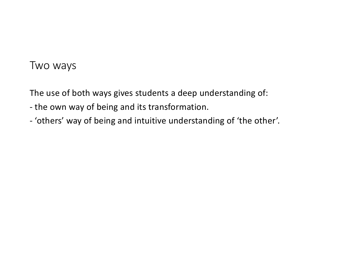### Two ways

The use of both ways gives students a deep understanding of:

- the own way of being and its transformation.
- 'others' way of being and intuitive understanding of 'the other'.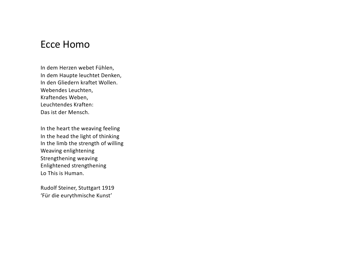#### Ecce Homo

In dem Herzen webet Fühlen, In dem Haupte leuchtet Denken, In den Gliedern kraftet Wollen. Webendes Leuchten, Kraftendes Weben, Leuchtendes Kraften: Das ist der Mensch.

In the heart the weaving feeling In the head the light of thinking In the limb the strength of willing Weaving enlightening Strengthening weaving Enlightened strengthening Lo This is Human.

Rudolf Steiner, Stuttgart 1919 'Für die eurythmische Kunst'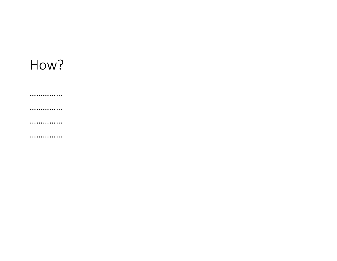# How?

...............

...............

...............